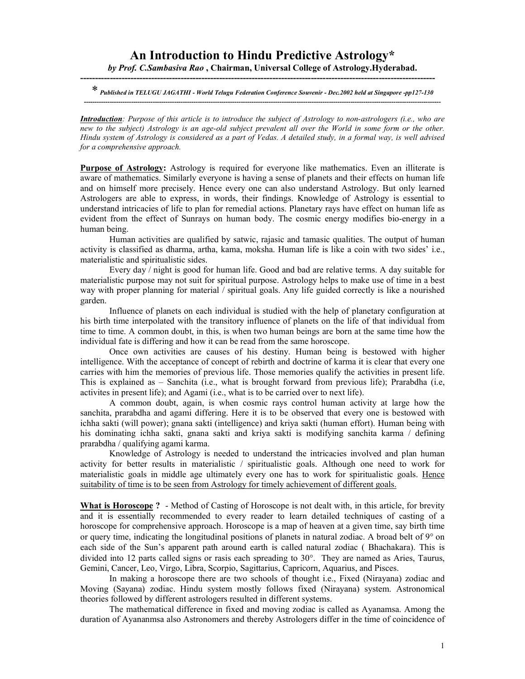## **An Introduction to Hindu Predictive Astrology\***

*by Prof. C.Sambasiva Rao* **, Chairman, Universal College of Astrology.Hyderabad. ------------------------------------------------------------------------------------------------------------------------** 

\* *Published in TELUGU JAGATHI - World Telugu Federation Conference Souvenir - Dec.2002 held at Singapore -pp127-130 ----------------------------------------------------------------------------------------------------------------------------------------------------------------------* 

*Introduction: Purpose of this article is to introduce the subject of Astrology to non-astrologers (i.e., who are new to the subject) Astrology is an age-old subject prevalent all over the World in some form or the other. Hindu system of Astrology is considered as a part of Vedas. A detailed study, in a formal way, is well advised for a comprehensive approach.* 

**Purpose of Astrology:** Astrology is required for everyone like mathematics. Even an illiterate is aware of mathematics. Similarly everyone is having a sense of planets and their effects on human life and on himself more precisely. Hence every one can also understand Astrology. But only learned Astrologers are able to express, in words, their findings. Knowledge of Astrology is essential to understand intricacies of life to plan for remedial actions. Planetary rays have effect on human life as evident from the effect of Sunrays on human body. The cosmic energy modifies bio-energy in a human being.

Human activities are qualified by satwic, rajasic and tamasic qualities. The output of human activity is classified as dharma, artha, kama, moksha. Human life is like a coin with two sides' i.e., materialistic and spiritualistic sides.

Every day / night is good for human life. Good and bad are relative terms. A day suitable for materialistic purpose may not suit for spiritual purpose. Astrology helps to make use of time in a best way with proper planning for material / spiritual goals. Any life guided correctly is like a nourished garden.

Influence of planets on each individual is studied with the help of planetary configuration at his birth time interpolated with the transitory influence of planets on the life of that individual from time to time. A common doubt, in this, is when two human beings are born at the same time how the individual fate is differing and how it can be read from the same horoscope.

Once own activities are causes of his destiny. Human being is bestowed with higher intelligence. With the acceptance of concept of rebirth and doctrine of karma it is clear that every one carries with him the memories of previous life. Those memories qualify the activities in present life. This is explained as – Sanchita (i.e., what is brought forward from previous life); Prarabdha (i.e, activites in present life); and Agami (i.e., what is to be carried over to next life).

A common doubt, again, is when cosmic rays control human activity at large how the sanchita, prarabdha and agami differing. Here it is to be observed that every one is bestowed with ichha sakti (will power); gnana sakti (intelligence) and kriya sakti (human effort). Human being with his dominating ichha sakti, gnana sakti and kriya sakti is modifying sanchita karma / defining prarabdha / qualifying agami karma.

Knowledge of Astrology is needed to understand the intricacies involved and plan human activity for better results in materialistic / spiritualistic goals. Although one need to work for materialistic goals in middle age ultimately every one has to work for spiritualistic goals. Hence suitability of time is to be seen from Astrology for timely achievement of different goals.

**What is Horoscope ?** - Method of Casting of Horoscope is not dealt with, in this article, for brevity and it is essentially recommended to every reader to learn detailed techniques of casting of a horoscope for comprehensive approach. Horoscope is a map of heaven at a given time, say birth time or query time, indicating the longitudinal positions of planets in natural zodiac. A broad belt of 9° on each side of the Sun's apparent path around earth is called natural zodiac ( Bhachakara). This is divided into 12 parts called signs or rasis each spreading to 30°. They are named as Aries, Taurus, Gemini, Cancer, Leo, Virgo, Libra, Scorpio, Sagittarius, Capricorn, Aquarius, and Pisces.

In making a horoscope there are two schools of thought i.e., Fixed (Nirayana) zodiac and Moving (Sayana) zodiac. Hindu system mostly follows fixed (Nirayana) system. Astronomical theories followed by different astrologers resulted in different systems.

The mathematical difference in fixed and moving zodiac is called as Ayanamsa. Among the duration of Ayananmsa also Astronomers and thereby Astrologers differ in the time of coincidence of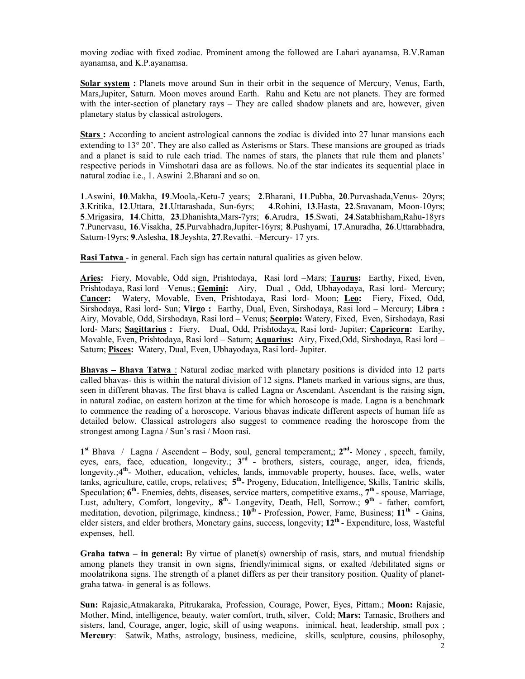moving zodiac with fixed zodiac. Prominent among the followed are Lahari ayanamsa, B.V.Raman ayanamsa, and K.P.ayanamsa.

**Solar system :** Planets move around Sun in their orbit in the sequence of Mercury, Venus, Earth, Mars,Jupiter, Saturn. Moon moves around Earth. Rahu and Ketu are not planets. They are formed with the inter-section of planetary rays – They are called shadow planets and are, however, given planetary status by classical astrologers.

**Stars :** According to ancient astrological cannons the zodiac is divided into 27 lunar mansions each extending to 13° 20'. They are also called as Asterisms or Stars. These mansions are grouped as triads and a planet is said to rule each triad. The names of stars, the planets that rule them and planets' respective periods in Vimshotari dasa are as follows. No.of the star indicates its sequential place in natural zodiac i.e., 1. Aswini 2.Bharani and so on.

.Aswini, **10**.Makha, **19**.Moola,-Ketu-7 years; **2**.Bharani, **11**.Pubba, **20**.Purvashada,Venus- 20yrs; .Kritika, **12**.Uttara, **21**.Uttarashada, Sun-6yrs; **4**.Rohini, **13**.Hasta, **22**.Sravanam, Moon-10yrs; .Mrigasira, **14**.Chitta, **23**.Dhanishta,Mars-7yrs; **6**.Arudra, **15**.Swati, **24**.Satabhisham,Rahu-18yrs .Punervasu, **16**.Visakha, **25**.Purvabhadra,Jupiter-16yrs; **8**.Pushyami, **17**.Anuradha, **26**.Uttarabhadra, Saturn-19yrs; **9**.Aslesha, **18**.Jeyshta, **27**.Revathi. –Mercury- 17 yrs.

**Rasi Tatwa** - in general. Each sign has certain natural qualities as given below.

**Aries:** Fiery, Movable, Odd sign, Prishtodaya, Rasi lord –Mars; **Taurus:** Earthy, Fixed, Even, Prishtodaya, Rasi lord – Venus.; **Gemini:** Airy, Dual , Odd, Ubhayodaya, Rasi lord- Mercury; **Cancer:** Watery, Movable, Even, Prishtodaya, Rasi lord- Moon; **Leo:** Fiery, Fixed, Odd, Sirshodaya, Rasi lord- Sun; **Virgo :** Earthy, Dual, Even, Sirshodaya, Rasi lord – Mercury; **Libra :** Airy, Movable, Odd, Sirshodaya, Rasi lord – Venus; **Scorpio:** Watery, Fixed, Even, Sirshodaya, Rasi lord- Mars; **Sagittarius :** Fiery, Dual, Odd, Prishtodaya, Rasi lord- Jupiter; **Capricorn:** Earthy, Movable, Even, Prishtodaya, Rasi lord – Saturn; **Aquarius:** Airy, Fixed,Odd, Sirshodaya, Rasi lord – Saturn; **Pisces:** Watery, Dual, Even, Ubhayodaya, Rasi lord- Jupiter.

**Bhavas – Bhava Tatwa** : Natural zodiac marked with planetary positions is divided into 12 parts called bhavas- this is within the natural division of 12 signs. Planets marked in various signs, are thus, seen in different bhavas. The first bhava is called Lagna or Ascendant. Ascendant is the raising sign, in natural zodiac, on eastern horizon at the time for which horoscope is made. Lagna is a benchmark to commence the reading of a horoscope. Various bhavas indicate different aspects of human life as detailed below. Classical astrologers also suggest to commence reading the horoscope from the strongest among Lagna / Sun's rasi / Moon rasi.

1<sup>st</sup> Bhava / Lagna / Ascendent – Body, soul, general temperament,; 2<sup>nd</sup>- Money, speech, family, eyes, ears, face, education, longevity.; 3<sup>rd</sup> - brothers, sisters, courage, anger, idea, friends, longevity.;4<sup>th</sup>- Mother, education, vehicles, lands, immovable property, houses, face, wells, water tanks, agriculture, cattle, crops, relatives;  $5<sup>th</sup>$ - Progeny, Education, Intelligence, Skills, Tantric skills, Speculation; **6 th**- Enemies, debts, diseases, service matters, competitive exams., **7 th** - spouse, Marriage, Lust, adultery, Comfort, longevity,  $8^{th}$ - Longevity, Death, Hell, Sorrow.;  $9^{th}$  - father, comfort, meditation, devotion, pilgrimage, kindness.; **10th** - Profession, Power, Fame, Business; **11th** - Gains, elder sisters, and elder brothers, Monetary gains, success, longevity; **12th** - Expenditure, loss, Wasteful expenses, hell.

**Graha tatwa – in general:** By virtue of planet(s) ownership of rasis, stars, and mutual friendship among planets they transit in own signs, friendly/inimical signs, or exalted /debilitated signs or moolatrikona signs. The strength of a planet differs as per their transitory position. Quality of planetgraha tatwa- in general is as follows.

**Sun:** Rajasic,Atmakaraka, Pitrukaraka, Profession, Courage, Power, Eyes, Pittam.; **Moon:** Rajasic, Mother, Mind, intelligence, beauty, water comfort, truth, silver, Cold; **Mars:** Tamasic, Brothers and sisters, land, Courage, anger, logic, skill of using weapons, inimical, heat, leadership, small pox ; **Mercury**: Satwik, Maths, astrology, business, medicine, skills, sculpture, cousins, philosophy,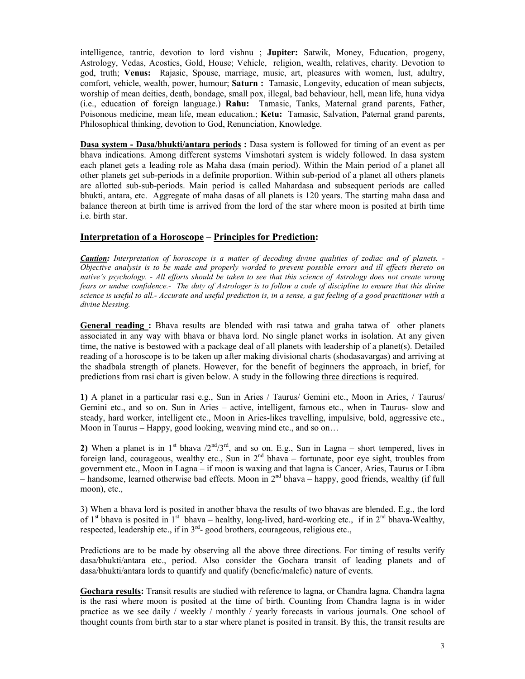intelligence, tantric, devotion to lord vishnu ; **Jupiter:** Satwik, Money, Education, progeny, Astrology, Vedas, Acostics, Gold, House; Vehicle, religion, wealth, relatives, charity. Devotion to god, truth; **Venus:** Rajasic, Spouse, marriage, music, art, pleasures with women, lust, adultry, comfort, vehicle, wealth, power, humour; **Saturn :** Tamasic, Longevity, education of mean subjects, worship of mean deities, death, bondage, small pox, illegal, bad behaviour, hell, mean life, huna vidya (i.e., education of foreign language.) **Rahu:** Tamasic, Tanks, Maternal grand parents, Father, Poisonous medicine, mean life, mean education.; **Ketu:** Tamasic, Salvation, Paternal grand parents, Philosophical thinking, devotion to God, Renunciation, Knowledge.

**Dasa system - Dasa/bhukti/antara periods :** Dasa system is followed for timing of an event as per bhava indications. Among different systems Vimshotari system is widely followed. In dasa system each planet gets a leading role as Maha dasa (main period). Within the Main period of a planet all other planets get sub-periods in a definite proportion. Within sub-period of a planet all others planets are allotted sub-sub-periods. Main period is called Mahardasa and subsequent periods are called bhukti, antara, etc. Aggregate of maha dasas of all planets is 120 years. The starting maha dasa and balance thereon at birth time is arrived from the lord of the star where moon is posited at birth time i.e. birth star.

## **Interpretation of a Horoscope – Principles for Prediction:**

*Caution: Interpretation of horoscope is a matter of decoding divine qualities of zodiac and of planets. - Objective analysis is to be made and properly worded to prevent possible errors and ill effects thereto on native's psychology. - All efforts should be taken to see that this science of Astrology does not create wrong*  fears or undue confidence.- The duty of Astrologer is to follow a code of discipline to ensure that this divine *science is useful to all.- Accurate and useful prediction is, in a sense, a gut feeling of a good practitioner with a divine blessing.* 

**General reading :** Bhava results are blended with rasi tatwa and graha tatwa of other planets associated in any way with bhava or bhava lord. No single planet works in isolation. At any given time, the native is bestowed with a package deal of all planets with leadership of a planet(s). Detailed reading of a horoscope is to be taken up after making divisional charts (shodasavargas) and arriving at the shadbala strength of planets. However, for the benefit of beginners the approach, in brief, for predictions from rasi chart is given below. A study in the following three directions is required.

**1)** A planet in a particular rasi e.g., Sun in Aries / Taurus/ Gemini etc., Moon in Aries, / Taurus/ Gemini etc., and so on. Sun in Aries – active, intelligent, famous etc., when in Taurus- slow and steady, hard worker, intelligent etc., Moon in Aries-likes travelling, impulsive, bold, aggressive etc., Moon in Taurus – Happy, good looking, weaving mind etc., and so on...

2) When a planet is in  $1^{st}$  bhava  $/2^{nd}/3^{rd}$ , and so on. E.g., Sun in Lagna – short tempered, lives in foreign land, courageous, wealthy etc., Sun in  $2<sup>nd</sup>$  bhava – fortunate, poor eye sight, troubles from government etc., Moon in Lagna – if moon is waxing and that lagna is Cancer, Aries, Taurus or Libra  $-$  handsome, learned otherwise bad effects. Moon in  $2<sup>nd</sup>$  bhava  $-$  happy, good friends, wealthy (if full moon), etc.,

3) When a bhava lord is posited in another bhava the results of two bhavas are blended. E.g., the lord of 1<sup>st</sup> bhava is posited in 1<sup>st</sup> bhava – healthy, long-lived, hard-working etc., if in 2<sup>nd</sup> bhava-Wealthy, respected, leadership etc., if in  $3<sup>rd</sup>$ -good brothers, courageous, religious etc.,

Predictions are to be made by observing all the above three directions. For timing of results verify dasa/bhukti/antara etc., period. Also consider the Gochara transit of leading planets and of dasa/bhukti/antara lords to quantify and qualify (benefic/malefic) nature of events.

**Gochara results:** Transit results are studied with reference to lagna, or Chandra lagna. Chandra lagna is the rasi where moon is posited at the time of birth. Counting from Chandra lagna is in wider practice as we see daily / weekly / monthly / yearly forecasts in various journals. One school of thought counts from birth star to a star where planet is posited in transit. By this, the transit results are